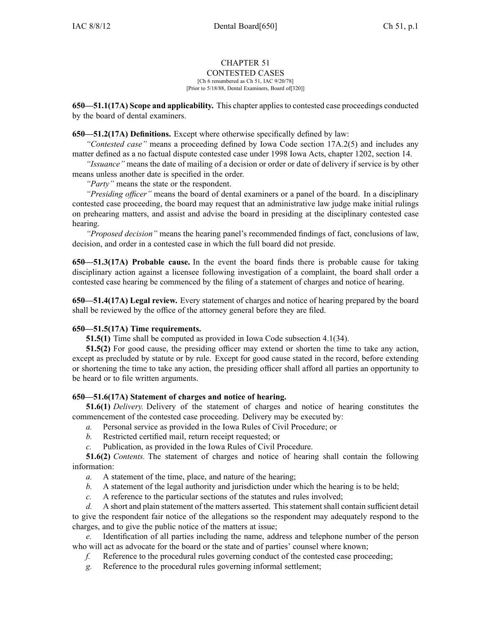# CHAPTER 51

CONTESTED CASES

[Ch 6 renumbered as Ch 51, IAC 9/20/78] [Prior to 5/18/88, Dental Examiners, Board of[320]]

**650—51.1(17A) Scope and applicability.** This chapter appliesto contested case proceedings conducted by the board of dental examiners.

### **650—51.2(17A) Definitions.** Except where otherwise specifically defined by law:

*"Contested case"* means <sup>a</sup> proceeding defined by Iowa Code section 17A.2(5) and includes any matter defined as <sup>a</sup> no factual dispute contested case under 1998 Iowa Acts, chapter 1202, section 14.

*"Issuance"* means the date of mailing of <sup>a</sup> decision or order or date of delivery if service is by other means unless another date is specified in the order.

*"Party"* means the state or the respondent.

*"Presiding officer"* means the board of dental examiners or <sup>a</sup> panel of the board. In <sup>a</sup> disciplinary contested case proceeding, the board may reques<sup>t</sup> that an administrative law judge make initial rulings on prehearing matters, and assist and advise the board in presiding at the disciplinary contested case hearing.

*"Proposed decision"* means the hearing panel's recommended findings of fact, conclusions of law, decision, and order in <sup>a</sup> contested case in which the full board did not preside.

**650—51.3(17A) Probable cause.** In the event the board finds there is probable cause for taking disciplinary action against <sup>a</sup> licensee following investigation of <sup>a</sup> complaint, the board shall order <sup>a</sup> contested case hearing be commenced by the filing of <sup>a</sup> statement of charges and notice of hearing.

**650—51.4(17A) Legal review.** Every statement of charges and notice of hearing prepared by the board shall be reviewed by the office of the attorney general before they are filed.

### **650—51.5(17A) Time requirements.**

**51.5(1)** Time shall be computed as provided in Iowa Code subsection 4.1(34).

**51.5(2)** For good cause, the presiding officer may extend or shorten the time to take any action, excep<sup>t</sup> as precluded by statute or by rule. Except for good cause stated in the record, before extending or shortening the time to take any action, the presiding officer shall afford all parties an opportunity to be heard or to file written arguments.

### **650—51.6(17A) Statement of charges and notice of hearing.**

**51.6(1)** *Delivery.* Delivery of the statement of charges and notice of hearing constitutes the commencement of the contested case proceeding. Delivery may be executed by:

- *a.* Personal service as provided in the Iowa Rules of Civil Procedure; or
- *b.* Restricted certified mail, return receipt requested; or
- *c.* Publication, as provided in the Iowa Rules of Civil Procedure.

**51.6(2)** *Contents.* The statement of charges and notice of hearing shall contain the following information:

- *a.* A statement of the time, place, and nature of the hearing;
- *b.* A statement of the legal authority and jurisdiction under which the hearing is to be held;
- *c.* A reference to the particular sections of the statutes and rules involved;

*d.* A short and plain statement of the matters asserted. This statement shall contain sufficient detail to give the respondent fair notice of the allegations so the respondent may adequately respond to the charges, and to give the public notice of the matters at issue;

*e.* Identification of all parties including the name, address and telephone number of the person who will act as advocate for the board or the state and of parties' counsel where known;

- *f.* Reference to the procedural rules governing conduct of the contested case proceeding;
- *g.* Reference to the procedural rules governing informal settlement;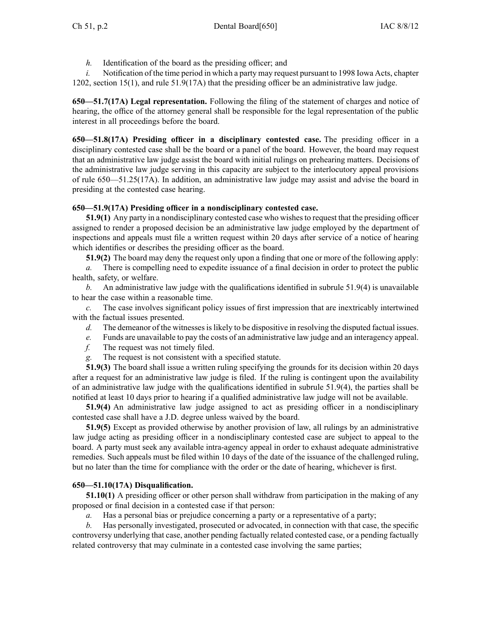*h.* Identification of the board as the presiding officer; and

*i.* Notification of the time period in which a party may request pursuant to 1998 Iowa Acts, chapter 1202, section 15(1), and rule 51.9(17A) that the presiding officer be an administrative law judge.

**650—51.7(17A) Legal representation.** Following the filing of the statement of charges and notice of hearing, the office of the attorney general shall be responsible for the legal representation of the public interest in all proceedings before the board.

**650—51.8(17A) Presiding officer in <sup>a</sup> disciplinary contested case.** The presiding officer in <sup>a</sup> disciplinary contested case shall be the board or <sup>a</sup> panel of the board. However, the board may reques<sup>t</sup> that an administrative law judge assist the board with initial rulings on prehearing matters. Decisions of the administrative law judge serving in this capacity are subject to the interlocutory appeal provisions of rule 650—51.25(17A). In addition, an administrative law judge may assist and advise the board in presiding at the contested case hearing.

### **650—51.9(17A) Presiding officer in <sup>a</sup> nondisciplinary contested case.**

**51.9(1)** Any party in a nondisciplinary contested case who wishes to request that the presiding officer assigned to render <sup>a</sup> proposed decision be an administrative law judge employed by the department of inspections and appeals must file <sup>a</sup> written reques<sup>t</sup> within 20 days after service of <sup>a</sup> notice of hearing which identifies or describes the presiding officer as the board.

**51.9(2)** The board may deny the reques<sup>t</sup> only upon <sup>a</sup> finding that one or more of the following apply:

*a.* There is compelling need to expedite issuance of <sup>a</sup> final decision in order to protect the public health, safety, or welfare.

*b.* An administrative law judge with the qualifications identified in subrule 51.9(4) is unavailable to hear the case within <sup>a</sup> reasonable time.

*c.* The case involves significant policy issues of first impression that are inextricably intertwined with the factual issues presented.

- *d.* The demeanor of the witnesses is likely to be dispositive in resolving the disputed factual issues.
- *e.* Funds are unavailable to pay the costs of an administrative law judge and an interagency appeal.
- *f.* The reques<sup>t</sup> was not timely filed.
- *g.* The reques<sup>t</sup> is not consistent with <sup>a</sup> specified statute.

**51.9(3)** The board shall issue <sup>a</sup> written ruling specifying the grounds for its decision within 20 days after <sup>a</sup> reques<sup>t</sup> for an administrative law judge is filed. If the ruling is contingent upon the availability of an administrative law judge with the qualifications identified in subrule 51.9(4), the parties shall be notified at least 10 days prior to hearing if <sup>a</sup> qualified administrative law judge will not be available.

**51.9(4)** An administrative law judge assigned to act as presiding officer in <sup>a</sup> nondisciplinary contested case shall have <sup>a</sup> J.D. degree unless waived by the board.

**51.9(5)** Except as provided otherwise by another provision of law, all rulings by an administrative law judge acting as presiding officer in <sup>a</sup> nondisciplinary contested case are subject to appeal to the board. A party must seek any available intra-agency appeal in order to exhaust adequate administrative remedies. Such appeals must be filed within 10 days of the date of the issuance of the challenged ruling, but no later than the time for compliance with the order or the date of hearing, whichever is first.

#### **650—51.10(17A) Disqualification.**

**51.10(1)** A presiding officer or other person shall withdraw from participation in the making of any proposed or final decision in <sup>a</sup> contested case if that person:

*a.* Has <sup>a</sup> personal bias or prejudice concerning <sup>a</sup> party or <sup>a</sup> representative of <sup>a</sup> party;

*b.* Has personally investigated, prosecuted or advocated, in connection with that case, the specific controversy underlying that case, another pending factually related contested case, or <sup>a</sup> pending factually related controversy that may culminate in <sup>a</sup> contested case involving the same parties;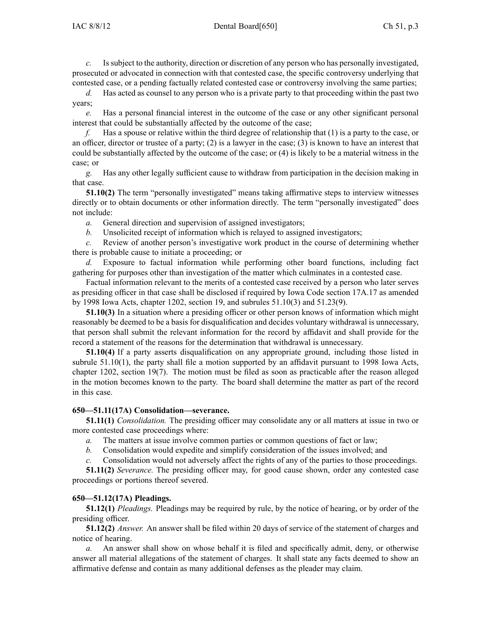*c.* Issubject to the authority, direction or discretion of any person who has personally investigated, prosecuted or advocated in connection with that contested case, the specific controversy underlying that contested case, or <sup>a</sup> pending factually related contested case or controversy involving the same parties;

*d.* Has acted as counsel to any person who is <sup>a</sup> private party to that proceeding within the pas<sup>t</sup> two years;

*e.* Has <sup>a</sup> personal financial interest in the outcome of the case or any other significant personal interest that could be substantially affected by the outcome of the case;

*f.* Has <sup>a</sup> spouse or relative within the third degree of relationship that (1) is <sup>a</sup> party to the case, or an officer, director or trustee of <sup>a</sup> party; (2) is <sup>a</sup> lawyer in the case; (3) is known to have an interest that could be substantially affected by the outcome of the case; or (4) is likely to be <sup>a</sup> material witness in the case; or

*g.* Has any other legally sufficient cause to withdraw from participation in the decision making in that case.

**51.10(2)** The term "personally investigated" means taking affirmative steps to interview witnesses directly or to obtain documents or other information directly. The term "personally investigated" does not include:

*a.* General direction and supervision of assigned investigators;

*b.* Unsolicited receipt of information which is relayed to assigned investigators;

*c.* Review of another person's investigative work product in the course of determining whether there is probable cause to initiate <sup>a</sup> proceeding; or

*d.* Exposure to factual information while performing other board functions, including fact gathering for purposes other than investigation of the matter which culminates in <sup>a</sup> contested case.

Factual information relevant to the merits of <sup>a</sup> contested case received by <sup>a</sup> person who later serves as presiding officer in that case shall be disclosed if required by Iowa Code section 17A.17 as amended by 1998 Iowa Acts, chapter 1202, section 19, and subrules 51.10(3) and 51.23(9).

**51.10(3)** In <sup>a</sup> situation where <sup>a</sup> presiding officer or other person knows of information which might reasonably be deemed to be <sup>a</sup> basis for disqualification and decides voluntary withdrawal is unnecessary, that person shall submit the relevant information for the record by affidavit and shall provide for the record <sup>a</sup> statement of the reasons for the determination that withdrawal is unnecessary.

**51.10(4)** If <sup>a</sup> party asserts disqualification on any appropriate ground, including those listed in subrule 51.10(1), the party shall file <sup>a</sup> motion supported by an affidavit pursuan<sup>t</sup> to 1998 Iowa Acts, chapter 1202, section 19(7). The motion must be filed as soon as practicable after the reason alleged in the motion becomes known to the party. The board shall determine the matter as par<sup>t</sup> of the record in this case.

### **650—51.11(17A) Consolidation—severance.**

**51.11(1)** *Consolidation.* The presiding officer may consolidate any or all matters at issue in two or more contested case proceedings where:

*a.* The matters at issue involve common parties or common questions of fact or law;

*b.* Consolidation would expedite and simplify consideration of the issues involved; and

*c.* Consolidation would not adversely affect the rights of any of the parties to those proceedings.

**51.11(2)** *Severance.* The presiding officer may, for good cause shown, order any contested case proceedings or portions thereof severed.

### **650—51.12(17A) Pleadings.**

**51.12(1)** *Pleadings.* Pleadings may be required by rule, by the notice of hearing, or by order of the presiding officer.

**51.12(2)** *Answer.* An answer shall be filed within 20 days of service of the statement of charges and notice of hearing.

*a.* An answer shall show on whose behalf it is filed and specifically admit, deny, or otherwise answer all material allegations of the statement of charges. It shall state any facts deemed to show an affirmative defense and contain as many additional defenses as the pleader may claim.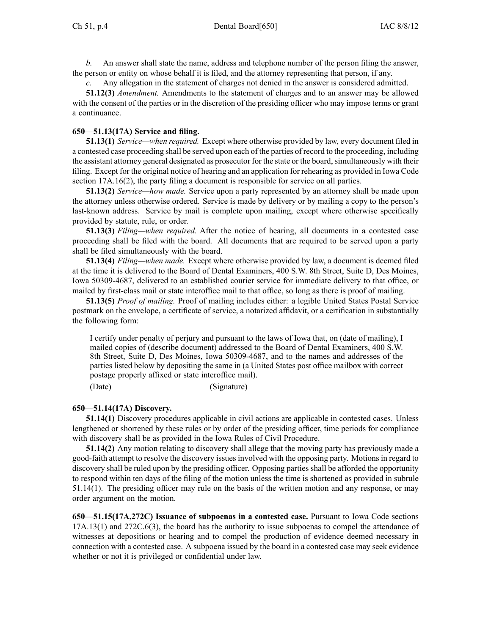*b.* An answer shall state the name, address and telephone number of the person filing the answer, the person or entity on whose behalf it is filed, and the attorney representing that person, if any.

Any allegation in the statement of charges not denied in the answer is considered admitted.

**51.12(3)** *Amendment.* Amendments to the statement of charges and to an answer may be allowed with the consent of the parties or in the discretion of the presiding officer who may impose terms or grant <sup>a</sup> continuance.

### **650—51.13(17A) Service and filing.**

**51.13(1)** *Service—when required.* Except where otherwise provided by law, every document filed in <sup>a</sup> contested case proceeding shall be served upon each of the parties of record to the proceeding, including the assistant attorney general designated as prosecutor for the state or the board, simultaneously with their filing. Except for the original notice of hearing and an application for rehearing as provided in Iowa Code section 17A.16(2), the party filing a document is responsible for service on all parties.

**51.13(2)** *Service—how made.* Service upon <sup>a</sup> party represented by an attorney shall be made upon the attorney unless otherwise ordered. Service is made by delivery or by mailing <sup>a</sup> copy to the person's last-known address. Service by mail is complete upon mailing, excep<sup>t</sup> where otherwise specifically provided by statute, rule, or order.

**51.13(3)** *Filing—when required.* After the notice of hearing, all documents in <sup>a</sup> contested case proceeding shall be filed with the board. All documents that are required to be served upon <sup>a</sup> party shall be filed simultaneously with the board.

**51.13(4)** *Filing—when made.* Except where otherwise provided by law, <sup>a</sup> document is deemed filed at the time it is delivered to the Board of Dental Examiners, 400 S.W. 8th Street, Suite D, Des Moines, Iowa 50309-4687, delivered to an established courier service for immediate delivery to that office, or mailed by first-class mail or state interoffice mail to that office, so long as there is proof of mailing.

**51.13(5)** *Proof of mailing.* Proof of mailing includes either: <sup>a</sup> legible United States Postal Service postmark on the envelope, <sup>a</sup> certificate of service, <sup>a</sup> notarized affidavit, or <sup>a</sup> certification in substantially the following form:

I certify under penalty of perjury and pursuan<sup>t</sup> to the laws of Iowa that, on (date of mailing), I mailed copies of (describe document) addressed to the Board of Dental Examiners, 400 S.W. 8th Street, Suite D, Des Moines, Iowa 50309-4687, and to the names and addresses of the parties listed below by depositing the same in (a United States pos<sup>t</sup> office mailbox with correct postage properly affixed or state interoffice mail).

(Date) (Signature)

### **650—51.14(17A) Discovery.**

**51.14(1)** Discovery procedures applicable in civil actions are applicable in contested cases. Unless lengthened or shortened by these rules or by order of the presiding officer, time periods for compliance with discovery shall be as provided in the Iowa Rules of Civil Procedure.

**51.14(2)** Any motion relating to discovery shall allege that the moving party has previously made <sup>a</sup> good-faith attempt to resolve the discovery issues involved with the opposing party. Motions in regard to discovery shall be ruled upon by the presiding officer. Opposing parties shall be afforded the opportunity to respond within ten days of the filing of the motion unless the time is shortened as provided in subrule 51.14(1). The presiding officer may rule on the basis of the written motion and any response, or may order argumen<sup>t</sup> on the motion.

**650—51.15(17A,272C) Issuance of subpoenas in <sup>a</sup> contested case.** Pursuant to Iowa Code sections 17A.13(1) and 272C.6(3), the board has the authority to issue subpoenas to compel the attendance of witnesses at depositions or hearing and to compel the production of evidence deemed necessary in connection with <sup>a</sup> contested case. A subpoena issued by the board in <sup>a</sup> contested case may seek evidence whether or not it is privileged or confidential under law.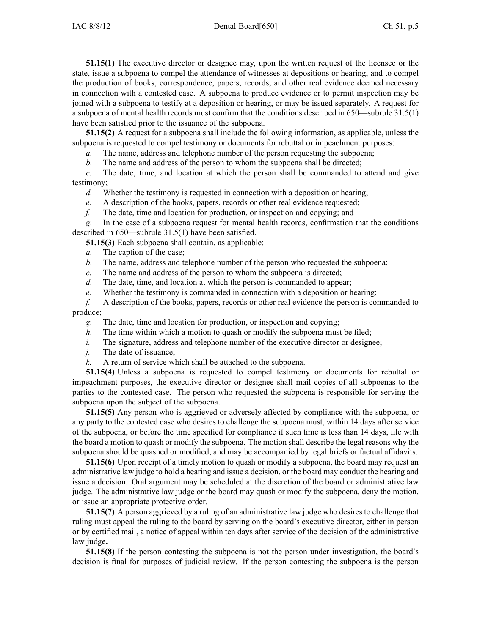**51.15(1)** The executive director or designee may, upon the written reques<sup>t</sup> of the licensee or the state, issue <sup>a</sup> subpoena to compel the attendance of witnesses at depositions or hearing, and to compel the production of books, correspondence, papers, records, and other real evidence deemed necessary in connection with <sup>a</sup> contested case. A subpoena to produce evidence or to permit inspection may be joined with <sup>a</sup> subpoena to testify at <sup>a</sup> deposition or hearing, or may be issued separately. A reques<sup>t</sup> for <sup>a</sup> subpoena of mental health records must confirm that the conditions described in 650—subrule 31.5(1) have been satisfied prior to the issuance of the subpoena.

**51.15(2)** A reques<sup>t</sup> for <sup>a</sup> subpoena shall include the following information, as applicable, unless the subpoena is requested to compel testimony or documents for rebuttal or impeachment purposes:

*a.* The name, address and telephone number of the person requesting the subpoena;

*b.* The name and address of the person to whom the subpoena shall be directed;

*c.* The date, time, and location at which the person shall be commanded to attend and give testimony;

*d.* Whether the testimony is requested in connection with <sup>a</sup> deposition or hearing;

*e.* A description of the books, papers, records or other real evidence requested;

*f.* The date, time and location for production, or inspection and copying; and

*g.* In the case of <sup>a</sup> subpoena reques<sup>t</sup> for mental health records, confirmation that the conditions described in 650—subrule 31.5(1) have been satisfied.

**51.15(3)** Each subpoena shall contain, as applicable:

*a.* The caption of the case;

*b.* The name, address and telephone number of the person who requested the subpoena;

*c.* The name and address of the person to whom the subpoena is directed;

*d.* The date, time, and location at which the person is commanded to appear;

*e.* Whether the testimony is commanded in connection with <sup>a</sup> deposition or hearing;

*f.* A description of the books, papers, records or other real evidence the person is commanded to produce;

*g.* The date, time and location for production, or inspection and copying;

*h.* The time within which a motion to quash or modify the subpoena must be filed;

*i.* The signature, address and telephone number of the executive director or designee;

*j.* The date of issuance;

*k.* A return of service which shall be attached to the subpoena.

**51.15(4)** Unless <sup>a</sup> subpoena is requested to compel testimony or documents for rebuttal or impeachment purposes, the executive director or designee shall mail copies of all subpoenas to the parties to the contested case. The person who requested the subpoena is responsible for serving the subpoena upon the subject of the subpoena.

**51.15(5)** Any person who is aggrieved or adversely affected by compliance with the subpoena, or any party to the contested case who desires to challenge the subpoena must, within 14 days after service of the subpoena, or before the time specified for compliance if such time is less than 14 days, file with the board <sup>a</sup> motion to quash or modify the subpoena. The motion shall describe the legal reasons why the subpoena should be quashed or modified, and may be accompanied by legal briefs or factual affidavits.

**51.15(6)** Upon receipt of <sup>a</sup> timely motion to quash or modify <sup>a</sup> subpoena, the board may reques<sup>t</sup> an administrative law judge to hold <sup>a</sup> hearing and issue <sup>a</sup> decision, or the board may conduct the hearing and issue <sup>a</sup> decision. Oral argumen<sup>t</sup> may be scheduled at the discretion of the board or administrative law judge. The administrative law judge or the board may quash or modify the subpoena, deny the motion, or issue an appropriate protective order.

**51.15(7)** A person aggrieved by <sup>a</sup> ruling of an administrative law judge who desires to challenge that ruling must appeal the ruling to the board by serving on the board's executive director, either in person or by certified mail, <sup>a</sup> notice of appeal within ten days after service of the decision of the administrative law judge**.**

**51.15(8)** If the person contesting the subpoena is not the person under investigation, the board's decision is final for purposes of judicial review. If the person contesting the subpoena is the person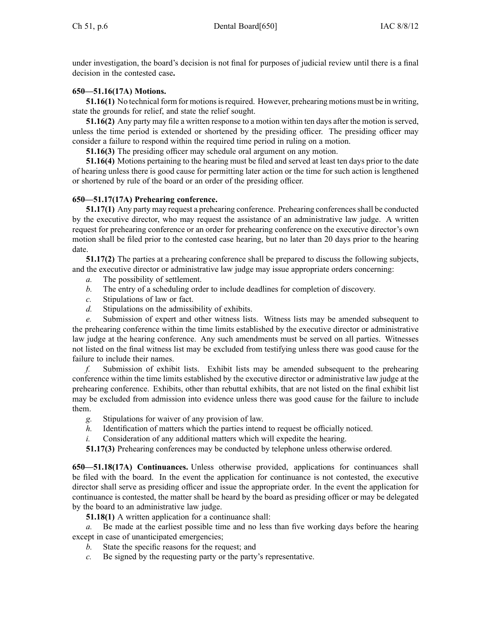under investigation, the board's decision is not final for purposes of judicial review until there is <sup>a</sup> final decision in the contested case**.**

## **650—51.16(17A) Motions.**

**51.16(1)** No technical form for motions is required. However, prehearing motions must be in writing, state the grounds for relief, and state the relief sought.

**51.16(2)** Any party may file <sup>a</sup> written response to <sup>a</sup> motion within ten days after the motion isserved, unless the time period is extended or shortened by the presiding officer. The presiding officer may consider <sup>a</sup> failure to respond within the required time period in ruling on <sup>a</sup> motion.

**51.16(3)** The presiding officer may schedule oral argumen<sup>t</sup> on any motion.

**51.16(4)** Motions pertaining to the hearing must be filed and served at least ten days prior to the date of hearing unless there is good cause for permitting later action or the time for such action is lengthened or shortened by rule of the board or an order of the presiding officer.

### **650—51.17(17A) Prehearing conference.**

**51.17(1)** Any party may request a prehearing conference. Prehearing conferences shall be conducted by the executive director, who may reques<sup>t</sup> the assistance of an administrative law judge. A written reques<sup>t</sup> for prehearing conference or an order for prehearing conference on the executive director's own motion shall be filed prior to the contested case hearing, but no later than 20 days prior to the hearing date.

**51.17(2)** The parties at <sup>a</sup> prehearing conference shall be prepared to discuss the following subjects, and the executive director or administrative law judge may issue appropriate orders concerning:

- *a.* The possibility of settlement.
- *b.* The entry of <sup>a</sup> scheduling order to include deadlines for completion of discovery.
- *c.* Stipulations of law or fact.
- *d.* Stipulations on the admissibility of exhibits.

*e.* Submission of exper<sup>t</sup> and other witness lists. Witness lists may be amended subsequent to the prehearing conference within the time limits established by the executive director or administrative law judge at the hearing conference. Any such amendments must be served on all parties. Witnesses not listed on the final witness list may be excluded from testifying unless there was good cause for the failure to include their names.

*f.* Submission of exhibit lists. Exhibit lists may be amended subsequent to the prehearing conference within the time limits established by the executive director or administrative law judge at the prehearing conference. Exhibits, other than rebuttal exhibits, that are not listed on the final exhibit list may be excluded from admission into evidence unless there was good cause for the failure to include them.

- *g.* Stipulations for waiver of any provision of law.
- *h.* Identification of matters which the parties intend to reques<sup>t</sup> be officially noticed.
- *i.* Consideration of any additional matters which will expedite the hearing.

**51.17(3)** Prehearing conferences may be conducted by telephone unless otherwise ordered.

**650—51.18(17A) Continuances.** Unless otherwise provided, applications for continuances shall be filed with the board. In the event the application for continuance is not contested, the executive director shall serve as presiding officer and issue the appropriate order. In the event the application for continuance is contested, the matter shall be heard by the board as presiding officer or may be delegated by the board to an administrative law judge.

**51.18(1)** A written application for <sup>a</sup> continuance shall:

*a.* Be made at the earliest possible time and no less than five working days before the hearing excep<sup>t</sup> in case of unanticipated emergencies;

- *b.* State the specific reasons for the request; and
- *c.* Be signed by the requesting party or the party's representative.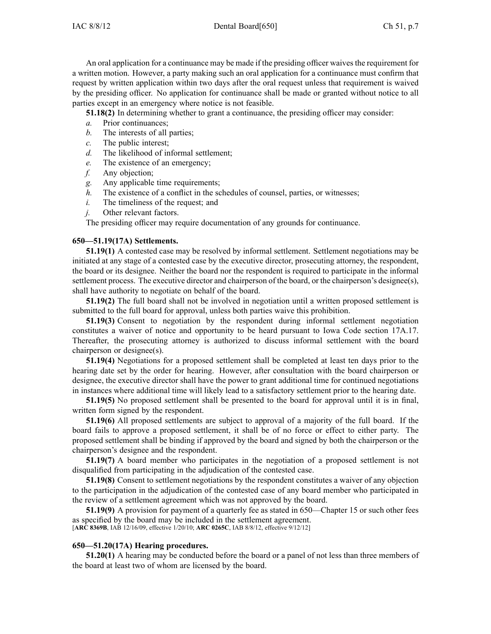An oral application for a continuance may be made if the presiding officer waives the requirement for <sup>a</sup> written motion. However, <sup>a</sup> party making such an oral application for <sup>a</sup> continuance must confirm that reques<sup>t</sup> by written application within two days after the oral reques<sup>t</sup> unless that requirement is waived by the presiding officer. No application for continuance shall be made or granted without notice to all parties excep<sup>t</sup> in an emergency where notice is not feasible.

**51.18(2)** In determining whether to gran<sup>t</sup> <sup>a</sup> continuance, the presiding officer may consider:

- *a.* Prior continuances;
- *b.* The interests of all parties;
- *c.* The public interest;
- *d.* The likelihood of informal settlement;
- *e.* The existence of an emergency;
- *f.* Any objection;
- *g.* Any applicable time requirements;
- *h.* The existence of a conflict in the schedules of counsel, parties, or witnesses;
- *i.* The timeliness of the request; and
- *j.* Other relevant factors.

The presiding officer may require documentation of any grounds for continuance.

#### **650—51.19(17A) Settlements.**

**51.19(1)** A contested case may be resolved by informal settlement. Settlement negotiations may be initiated at any stage of <sup>a</sup> contested case by the executive director, prosecuting attorney, the respondent, the board or its designee. Neither the board nor the respondent is required to participate in the informal settlement process. The executive director and chairperson of the board, or the chairperson's designee(s), shall have authority to negotiate on behalf of the board.

**51.19(2)** The full board shall not be involved in negotiation until <sup>a</sup> written proposed settlement is submitted to the full board for approval, unless both parties waive this prohibition.

**51.19(3)** Consent to negotiation by the respondent during informal settlement negotiation constitutes <sup>a</sup> waiver of notice and opportunity to be heard pursuan<sup>t</sup> to Iowa Code section 17A.17. Thereafter, the prosecuting attorney is authorized to discuss informal settlement with the board chairperson or designee(s).

**51.19(4)** Negotiations for <sup>a</sup> proposed settlement shall be completed at least ten days prior to the hearing date set by the order for hearing. However, after consultation with the board chairperson or designee, the executive director shall have the power to gran<sup>t</sup> additional time for continued negotiations in instances where additional time will likely lead to <sup>a</sup> satisfactory settlement prior to the hearing date.

**51.19(5)** No proposed settlement shall be presented to the board for approval until it is in final, written form signed by the respondent.

**51.19(6)** All proposed settlements are subject to approval of <sup>a</sup> majority of the full board. If the board fails to approve <sup>a</sup> proposed settlement, it shall be of no force or effect to either party. The proposed settlement shall be binding if approved by the board and signed by both the chairperson or the chairperson's designee and the respondent.

**51.19(7)** A board member who participates in the negotiation of <sup>a</sup> proposed settlement is not disqualified from participating in the adjudication of the contested case.

**51.19(8)** Consent to settlement negotiations by the respondent constitutes <sup>a</sup> waiver of any objection to the participation in the adjudication of the contested case of any board member who participated in the review of <sup>a</sup> settlement agreemen<sup>t</sup> which was not approved by the board.

**51.19(9)** A provision for paymen<sup>t</sup> of <sup>a</sup> quarterly fee as stated in 650—Chapter 15 or such other fees as specified by the board may be included in the settlement agreement. [**ARC 8369B**, IAB 12/16/09, effective 1/20/10; **ARC 0265C**, IAB 8/8/12, effective 9/12/12]

#### **650—51.20(17A) Hearing procedures.**

**51.20(1)** A hearing may be conducted before the board or <sup>a</sup> panel of not less than three members of the board at least two of whom are licensed by the board.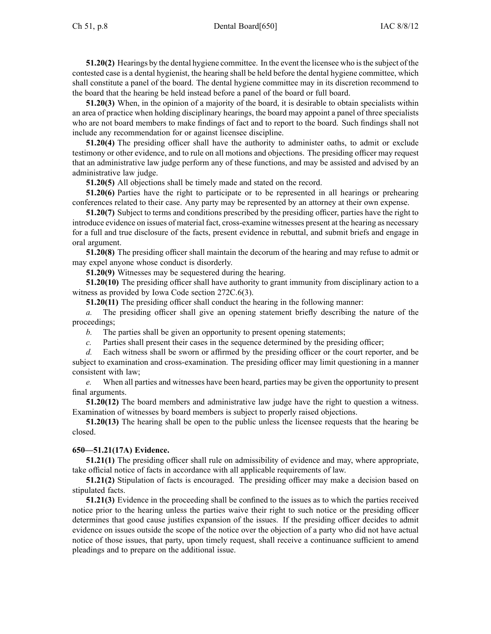**51.20(2)** Hearings by the dental hygiene committee. In the event the licensee who isthe subject of the contested case is <sup>a</sup> dental hygienist, the hearing shall be held before the dental hygiene committee, which shall constitute <sup>a</sup> panel of the board. The dental hygiene committee may in its discretion recommend to the board that the hearing be held instead before <sup>a</sup> panel of the board or full board.

**51.20(3)** When, in the opinion of <sup>a</sup> majority of the board, it is desirable to obtain specialists within an area of practice when holding disciplinary hearings, the board may appoint <sup>a</sup> panel of three specialists who are not board members to make findings of fact and to repor<sup>t</sup> to the board. Such findings shall not include any recommendation for or against licensee discipline.

**51.20(4)** The presiding officer shall have the authority to administer oaths, to admit or exclude testimony or other evidence, and to rule on all motions and objections. The presiding officer may reques<sup>t</sup> that an administrative law judge perform any of these functions, and may be assisted and advised by an administrative law judge.

**51.20(5)** All objections shall be timely made and stated on the record.

**51.20(6)** Parties have the right to participate or to be represented in all hearings or prehearing conferences related to their case. Any party may be represented by an attorney at their own expense.

**51.20(7)** Subject to terms and conditions prescribed by the presiding officer, parties have the right to introduce evidence on issues of material fact, cross-examine witnesses presen<sup>t</sup> at the hearing as necessary for <sup>a</sup> full and true disclosure of the facts, presen<sup>t</sup> evidence in rebuttal, and submit briefs and engage in oral argument.

**51.20(8)** The presiding officer shall maintain the decorum of the hearing and may refuse to admit or may expel anyone whose conduct is disorderly.

**51.20(9)** Witnesses may be sequestered during the hearing.

**51.20(10)** The presiding officer shall have authority to gran<sup>t</sup> immunity from disciplinary action to <sup>a</sup> witness as provided by Iowa Code section 272C.6(3).

**51.20(11)** The presiding officer shall conduct the hearing in the following manner:

*a.* The presiding officer shall give an opening statement briefly describing the nature of the proceedings;

*b.* The parties shall be given an opportunity to presen<sup>t</sup> opening statements;

*c.* Parties shall presen<sup>t</sup> their cases in the sequence determined by the presiding officer;

*d.* Each witness shall be sworn or affirmed by the presiding officer or the court reporter, and be subject to examination and cross-examination. The presiding officer may limit questioning in <sup>a</sup> manner consistent with law;

*e.* When all parties and witnesses have been heard, parties may be given the opportunity to presen<sup>t</sup> final arguments.

**51.20(12)** The board members and administrative law judge have the right to question <sup>a</sup> witness. Examination of witnesses by board members is subject to properly raised objections.

**51.20(13)** The hearing shall be open to the public unless the licensee requests that the hearing be closed.

#### **650—51.21(17A) Evidence.**

**51.21(1)** The presiding officer shall rule on admissibility of evidence and may, where appropriate, take official notice of facts in accordance with all applicable requirements of law.

**51.21(2)** Stipulation of facts is encouraged. The presiding officer may make <sup>a</sup> decision based on stipulated facts.

**51.21(3)** Evidence in the proceeding shall be confined to the issues as to which the parties received notice prior to the hearing unless the parties waive their right to such notice or the presiding officer determines that good cause justifies expansion of the issues. If the presiding officer decides to admit evidence on issues outside the scope of the notice over the objection of <sup>a</sup> party who did not have actual notice of those issues, that party, upon timely request, shall receive <sup>a</sup> continuance sufficient to amend pleadings and to prepare on the additional issue.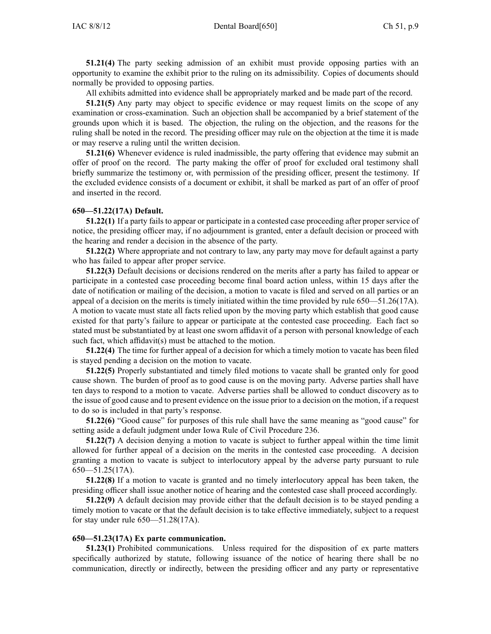**51.21(4)** The party seeking admission of an exhibit must provide opposing parties with an opportunity to examine the exhibit prior to the ruling on its admissibility. Copies of documents should normally be provided to opposing parties.

All exhibits admitted into evidence shall be appropriately marked and be made par<sup>t</sup> of the record.

**51.21(5)** Any party may object to specific evidence or may reques<sup>t</sup> limits on the scope of any examination or cross-examination. Such an objection shall be accompanied by <sup>a</sup> brief statement of the grounds upon which it is based. The objection, the ruling on the objection, and the reasons for the ruling shall be noted in the record. The presiding officer may rule on the objection at the time it is made or may reserve <sup>a</sup> ruling until the written decision.

**51.21(6)** Whenever evidence is ruled inadmissible, the party offering that evidence may submit an offer of proof on the record. The party making the offer of proof for excluded oral testimony shall briefly summarize the testimony or, with permission of the presiding officer, presen<sup>t</sup> the testimony. If the excluded evidence consists of <sup>a</sup> document or exhibit, it shall be marked as par<sup>t</sup> of an offer of proof and inserted in the record.

#### **650—51.22(17A) Default.**

**51.22(1)** If <sup>a</sup> party fails to appear or participate in <sup>a</sup> contested case proceeding after proper service of notice, the presiding officer may, if no adjournment is granted, enter <sup>a</sup> default decision or proceed with the hearing and render <sup>a</sup> decision in the absence of the party.

**51.22(2)** Where appropriate and not contrary to law, any party may move for default against <sup>a</sup> party who has failed to appear after proper service.

**51.22(3)** Default decisions or decisions rendered on the merits after <sup>a</sup> party has failed to appear or participate in <sup>a</sup> contested case proceeding become final board action unless, within 15 days after the date of notification or mailing of the decision, <sup>a</sup> motion to vacate is filed and served on all parties or an appeal of <sup>a</sup> decision on the merits is timely initiated within the time provided by rule 650—51.26(17A). A motion to vacate must state all facts relied upon by the moving party which establish that good cause existed for that party's failure to appear or participate at the contested case proceeding. Each fact so stated must be substantiated by at least one sworn affidavit of <sup>a</sup> person with personal knowledge of each such fact, which affidavit(s) must be attached to the motion.

**51.22(4)** The time for further appeal of <sup>a</sup> decision for which <sup>a</sup> timely motion to vacate has been filed is stayed pending <sup>a</sup> decision on the motion to vacate.

**51.22(5)** Properly substantiated and timely filed motions to vacate shall be granted only for good cause shown. The burden of proof as to good cause is on the moving party. Adverse parties shall have ten days to respond to <sup>a</sup> motion to vacate. Adverse parties shall be allowed to conduct discovery as to the issue of good cause and to presen<sup>t</sup> evidence on the issue prior to <sup>a</sup> decision on the motion, if <sup>a</sup> reques<sup>t</sup> to do so is included in that party's response.

**51.22(6)** "Good cause" for purposes of this rule shall have the same meaning as "good cause" for setting aside <sup>a</sup> default judgment under Iowa Rule of Civil Procedure 236.

**51.22(7)** A decision denying <sup>a</sup> motion to vacate is subject to further appeal within the time limit allowed for further appeal of <sup>a</sup> decision on the merits in the contested case proceeding. A decision granting <sup>a</sup> motion to vacate is subject to interlocutory appeal by the adverse party pursuan<sup>t</sup> to rule 650—51.25(17A).

**51.22(8)** If <sup>a</sup> motion to vacate is granted and no timely interlocutory appeal has been taken, the presiding officer shall issue another notice of hearing and the contested case shall proceed accordingly.

**51.22(9)** A default decision may provide either that the default decision is to be stayed pending <sup>a</sup> timely motion to vacate or that the default decision is to take effective immediately, subject to <sup>a</sup> reques<sup>t</sup> for stay under rule 650—51.28(17A).

#### **650—51.23(17A) Ex parte communication.**

**51.23(1)** Prohibited communications. Unless required for the disposition of ex parte matters specifically authorized by statute, following issuance of the notice of hearing there shall be no communication, directly or indirectly, between the presiding officer and any party or representative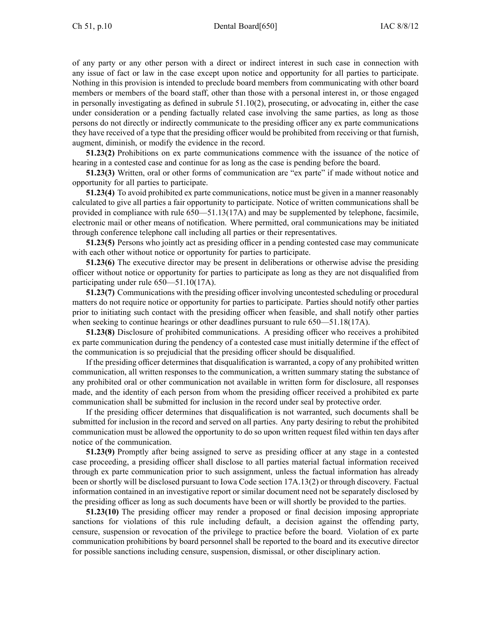of any party or any other person with <sup>a</sup> direct or indirect interest in such case in connection with any issue of fact or law in the case excep<sup>t</sup> upon notice and opportunity for all parties to participate. Nothing in this provision is intended to preclude board members from communicating with other board members or members of the board staff, other than those with <sup>a</sup> personal interest in, or those engaged in personally investigating as defined in subrule  $51.10(2)$ , prosecuting, or advocating in, either the case under consideration or <sup>a</sup> pending factually related case involving the same parties, as long as those persons do not directly or indirectly communicate to the presiding officer any ex parte communications they have received of <sup>a</sup> type that the presiding officer would be prohibited from receiving or that furnish, augment, diminish, or modify the evidence in the record.

**51.23(2)** Prohibitions on ex parte communications commence with the issuance of the notice of hearing in <sup>a</sup> contested case and continue for as long as the case is pending before the board.

**51.23(3)** Written, oral or other forms of communication are "ex parte" if made without notice and opportunity for all parties to participate.

**51.23(4)** To avoid prohibited ex parte communications, notice must be given in <sup>a</sup> manner reasonably calculated to give all parties <sup>a</sup> fair opportunity to participate. Notice of written communications shall be provided in compliance with rule 650—51.13(17A) and may be supplemented by telephone, facsimile, electronic mail or other means of notification. Where permitted, oral communications may be initiated through conference telephone call including all parties or their representatives.

**51.23(5)** Persons who jointly act as presiding officer in <sup>a</sup> pending contested case may communicate with each other without notice or opportunity for parties to participate.

**51.23(6)** The executive director may be presen<sup>t</sup> in deliberations or otherwise advise the presiding officer without notice or opportunity for parties to participate as long as they are not disqualified from participating under rule 650—51.10(17A).

**51.23(7)** Communications with the presiding officer involving uncontested scheduling or procedural matters do not require notice or opportunity for parties to participate. Parties should notify other parties prior to initiating such contact with the presiding officer when feasible, and shall notify other parties when seeking to continue hearings or other deadlines pursuant to rule  $650-51.18(17A)$ .

**51.23(8)** Disclosure of prohibited communications. A presiding officer who receives <sup>a</sup> prohibited ex parte communication during the pendency of <sup>a</sup> contested case must initially determine if the effect of the communication is so prejudicial that the presiding officer should be disqualified.

If the presiding officer determines that disqualification is warranted, <sup>a</sup> copy of any prohibited written communication, all written responses to the communication, <sup>a</sup> written summary stating the substance of any prohibited oral or other communication not available in written form for disclosure, all responses made, and the identity of each person from whom the presiding officer received <sup>a</sup> prohibited ex parte communication shall be submitted for inclusion in the record under seal by protective order.

If the presiding officer determines that disqualification is not warranted, such documents shall be submitted for inclusion in the record and served on all parties. Any party desiring to rebut the prohibited communication must be allowed the opportunity to do so upon written reques<sup>t</sup> filed within ten days after notice of the communication.

**51.23(9)** Promptly after being assigned to serve as presiding officer at any stage in <sup>a</sup> contested case proceeding, <sup>a</sup> presiding officer shall disclose to all parties material factual information received through ex parte communication prior to such assignment, unless the factual information has already been or shortly will be disclosed pursuan<sup>t</sup> to Iowa Code section 17A.13(2) or through discovery. Factual information contained in an investigative repor<sup>t</sup> or similar document need not be separately disclosed by the presiding officer as long as such documents have been or will shortly be provided to the parties.

**51.23(10)** The presiding officer may render <sup>a</sup> proposed or final decision imposing appropriate sanctions for violations of this rule including default, <sup>a</sup> decision against the offending party, censure, suspension or revocation of the privilege to practice before the board. Violation of ex parte communication prohibitions by board personnel shall be reported to the board and its executive director for possible sanctions including censure, suspension, dismissal, or other disciplinary action.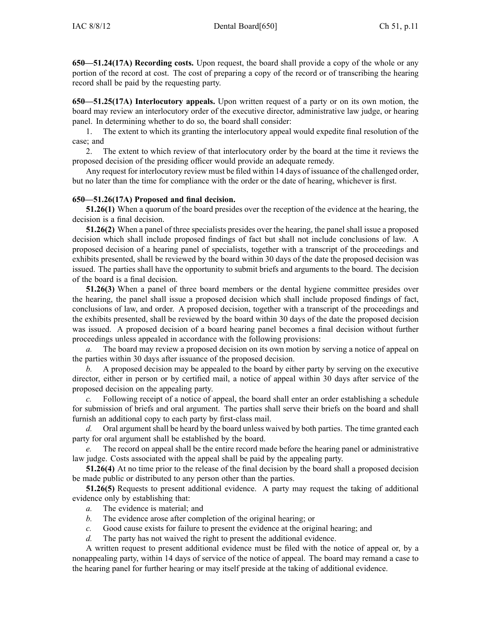**650—51.24(17A) Recording costs.** Upon request, the board shall provide <sup>a</sup> copy of the whole or any portion of the record at cost. The cost of preparing <sup>a</sup> copy of the record or of transcribing the hearing record shall be paid by the requesting party.

**650—51.25(17A) Interlocutory appeals.** Upon written reques<sup>t</sup> of <sup>a</sup> party or on its own motion, the board may review an interlocutory order of the executive director, administrative law judge, or hearing panel. In determining whether to do so, the board shall consider:

1. The extent to which its granting the interlocutory appeal would expedite final resolution of the case; and

2. The extent to which review of that interlocutory order by the board at the time it reviews the proposed decision of the presiding officer would provide an adequate remedy.

Any reques<sup>t</sup> for interlocutory review must be filed within 14 days of issuance of the challenged order, but no later than the time for compliance with the order or the date of hearing, whichever is first.

#### **650—51.26(17A) Proposed and final decision.**

**51.26(1)** When <sup>a</sup> quorum of the board presides over the reception of the evidence at the hearing, the decision is <sup>a</sup> final decision.

**51.26(2)** When <sup>a</sup> panel of three specialists presides over the hearing, the panel shall issue <sup>a</sup> proposed decision which shall include proposed findings of fact but shall not include conclusions of law. A proposed decision of <sup>a</sup> hearing panel of specialists, together with <sup>a</sup> transcript of the proceedings and exhibits presented, shall be reviewed by the board within 30 days of the date the proposed decision was issued. The parties shall have the opportunity to submit briefs and arguments to the board. The decision of the board is <sup>a</sup> final decision.

**51.26(3)** When <sup>a</sup> panel of three board members or the dental hygiene committee presides over the hearing, the panel shall issue <sup>a</sup> proposed decision which shall include proposed findings of fact, conclusions of law, and order. A proposed decision, together with <sup>a</sup> transcript of the proceedings and the exhibits presented, shall be reviewed by the board within 30 days of the date the proposed decision was issued. A proposed decision of <sup>a</sup> board hearing panel becomes <sup>a</sup> final decision without further proceedings unless appealed in accordance with the following provisions:

*a.* The board may review <sup>a</sup> proposed decision on its own motion by serving <sup>a</sup> notice of appeal on the parties within 30 days after issuance of the proposed decision.

*b.* A proposed decision may be appealed to the board by either party by serving on the executive director, either in person or by certified mail, <sup>a</sup> notice of appeal within 30 days after service of the proposed decision on the appealing party.

*c.* Following receipt of <sup>a</sup> notice of appeal, the board shall enter an order establishing <sup>a</sup> schedule for submission of briefs and oral argument. The parties shall serve their briefs on the board and shall furnish an additional copy to each party by first-class mail.

*d.* Oral argumen<sup>t</sup> shall be heard by the board unless waived by both parties. The time granted each party for oral argumen<sup>t</sup> shall be established by the board.

*e.* The record on appeal shall be the entire record made before the hearing panel or administrative law judge. Costs associated with the appeal shall be paid by the appealing party.

**51.26(4)** At no time prior to the release of the final decision by the board shall <sup>a</sup> proposed decision be made public or distributed to any person other than the parties.

**51.26(5)** Requests to presen<sup>t</sup> additional evidence. A party may reques<sup>t</sup> the taking of additional evidence only by establishing that:

- *a.* The evidence is material; and
- *b.* The evidence arose after completion of the original hearing; or
- *c.* Good cause exists for failure to presen<sup>t</sup> the evidence at the original hearing; and
- *d.* The party has not waived the right to presen<sup>t</sup> the additional evidence.

A written reques<sup>t</sup> to presen<sup>t</sup> additional evidence must be filed with the notice of appeal or, by <sup>a</sup> nonappealing party, within 14 days of service of the notice of appeal. The board may remand <sup>a</sup> case to the hearing panel for further hearing or may itself preside at the taking of additional evidence.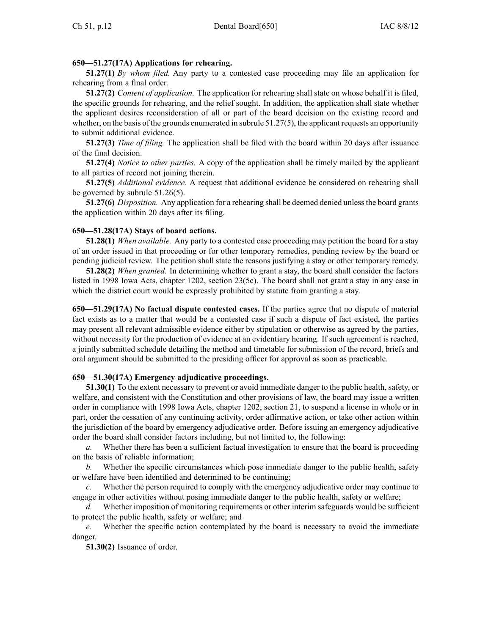### **650—51.27(17A) Applications for rehearing.**

**51.27(1)** *By whom filed.* Any party to <sup>a</sup> contested case proceeding may file an application for rehearing from <sup>a</sup> final order.

**51.27(2)** *Content of application.* The application for rehearing shall state on whose behalf it is filed, the specific grounds for rehearing, and the relief sought. In addition, the application shall state whether the applicant desires reconsideration of all or par<sup>t</sup> of the board decision on the existing record and whether, on the basis of the grounds enumerated in subrule 51.27(5), the applicant requests an opportunity to submit additional evidence.

**51.27(3)** *Time of filing.* The application shall be filed with the board within 20 days after issuance of the final decision.

**51.27(4)** *Notice to other parties.* A copy of the application shall be timely mailed by the applicant to all parties of record not joining therein.

**51.27(5)** *Additional evidence.* A reques<sup>t</sup> that additional evidence be considered on rehearing shall be governed by subrule 51.26(5).

**51.27(6)** *Disposition.* Any application for <sup>a</sup> rehearing shall be deemed denied unlessthe board grants the application within 20 days after its filing.

#### **650—51.28(17A) Stays of board actions.**

**51.28(1)** *When available.* Any party to <sup>a</sup> contested case proceeding may petition the board for <sup>a</sup> stay of an order issued in that proceeding or for other temporary remedies, pending review by the board or pending judicial review. The petition shall state the reasons justifying <sup>a</sup> stay or other temporary remedy.

**51.28(2)** *When granted.* In determining whether to gran<sup>t</sup> <sup>a</sup> stay, the board shall consider the factors listed in 1998 Iowa Acts, chapter 1202, section 23(5c). The board shall not gran<sup>t</sup> <sup>a</sup> stay in any case in which the district court would be expressly prohibited by statute from granting <sup>a</sup> stay.

**650—51.29(17A) No factual dispute contested cases.** If the parties agree that no dispute of material fact exists as to <sup>a</sup> matter that would be <sup>a</sup> contested case if such <sup>a</sup> dispute of fact existed, the parties may presen<sup>t</sup> all relevant admissible evidence either by stipulation or otherwise as agreed by the parties, without necessity for the production of evidence at an evidentiary hearing. If such agreemen<sup>t</sup> is reached, <sup>a</sup> jointly submitted schedule detailing the method and timetable for submission of the record, briefs and oral argumen<sup>t</sup> should be submitted to the presiding officer for approval as soon as practicable.

### **650—51.30(17A) Emergency adjudicative proceedings.**

**51.30(1)** To the extent necessary to preven<sup>t</sup> or avoid immediate danger to the public health, safety, or welfare, and consistent with the Constitution and other provisions of law, the board may issue <sup>a</sup> written order in compliance with 1998 Iowa Acts, chapter 1202, section 21, to suspend <sup>a</sup> license in whole or in part, order the cessation of any continuing activity, order affirmative action, or take other action within the jurisdiction of the board by emergency adjudicative order. Before issuing an emergency adjudicative order the board shall consider factors including, but not limited to, the following:

*a.* Whether there has been <sup>a</sup> sufficient factual investigation to ensure that the board is proceeding on the basis of reliable information;

*b.* Whether the specific circumstances which pose immediate danger to the public health, safety or welfare have been identified and determined to be continuing;

*c.* Whether the person required to comply with the emergency adjudicative order may continue to engage in other activities without posing immediate danger to the public health, safety or welfare;

d. Whether imposition of monitoring requirements or other interim safeguards would be sufficient to protect the public health, safety or welfare; and

*e.* Whether the specific action contemplated by the board is necessary to avoid the immediate danger.

**51.30(2)** Issuance of order.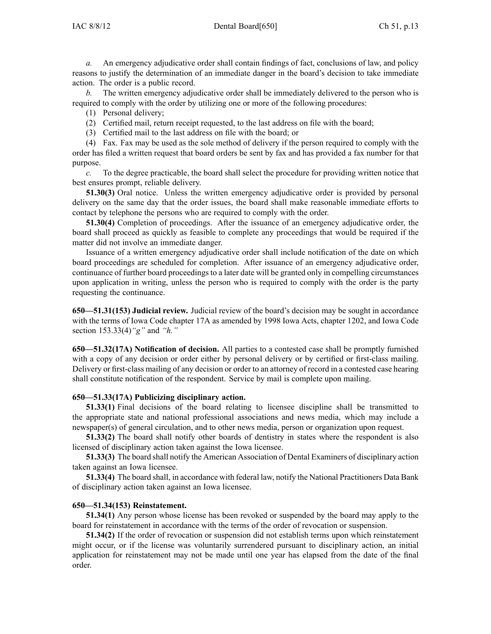*a.* An emergency adjudicative order shall contain findings of fact, conclusions of law, and policy reasons to justify the determination of an immediate danger in the board's decision to take immediate action. The order is <sup>a</sup> public record.

*b.* The written emergency adjudicative order shall be immediately delivered to the person who is required to comply with the order by utilizing one or more of the following procedures:

(1) Personal delivery;

- (2) Certified mail, return receipt requested, to the last address on file with the board;
- (3) Certified mail to the last address on file with the board; or

(4) Fax. Fax may be used as the sole method of delivery if the person required to comply with the order has filed <sup>a</sup> written reques<sup>t</sup> that board orders be sent by fax and has provided <sup>a</sup> fax number for that purpose.

*c.* To the degree practicable, the board shall select the procedure for providing written notice that best ensures prompt, reliable delivery.

**51.30(3)** Oral notice. Unless the written emergency adjudicative order is provided by personal delivery on the same day that the order issues, the board shall make reasonable immediate efforts to contact by telephone the persons who are required to comply with the order.

**51.30(4)** Completion of proceedings. After the issuance of an emergency adjudicative order, the board shall proceed as quickly as feasible to complete any proceedings that would be required if the matter did not involve an immediate danger.

Issuance of <sup>a</sup> written emergency adjudicative order shall include notification of the date on which board proceedings are scheduled for completion. After issuance of an emergency adjudicative order, continuance of further board proceedingsto <sup>a</sup> later date will be granted only in compelling circumstances upon application in writing, unless the person who is required to comply with the order is the party requesting the continuance.

**650—51.31(153) Judicial review.** Judicial review of the board's decision may be sought in accordance with the terms of Iowa Code chapter 17A as amended by 1998 Iowa Acts, chapter 1202, and Iowa Code section 153.33(4)*"g"* and *"h."*

**650—51.32(17A) Notification of decision.** All parties to <sup>a</sup> contested case shall be promptly furnished with a copy of any decision or order either by personal delivery or by certified or first-class mailing. Delivery or first-class mailing of any decision or order to an attorney of record in <sup>a</sup> contested case hearing shall constitute notification of the respondent. Service by mail is complete upon mailing.

### **650—51.33(17A) Publicizing disciplinary action.**

**51.33(1)** Final decisions of the board relating to licensee discipline shall be transmitted to the appropriate state and national professional associations and news media, which may include <sup>a</sup> newspaper(s) of general circulation, and to other news media, person or organization upon request.

**51.33(2)** The board shall notify other boards of dentistry in states where the respondent is also licensed of disciplinary action taken against the Iowa licensee.

**51.33(3)** The board shall notify the American Association of Dental Examiners of disciplinary action taken against an Iowa licensee.

**51.33(4)** The board shall, in accordance with federal law, notify the National Practitioners Data Bank of disciplinary action taken against an Iowa licensee.

#### **650—51.34(153) Reinstatement.**

**51.34(1)** Any person whose license has been revoked or suspended by the board may apply to the board for reinstatement in accordance with the terms of the order of revocation or suspension.

**51.34(2)** If the order of revocation or suspension did not establish terms upon which reinstatement might occur, or if the license was voluntarily surrendered pursuan<sup>t</sup> to disciplinary action, an initial application for reinstatement may not be made until one year has elapsed from the date of the final order.